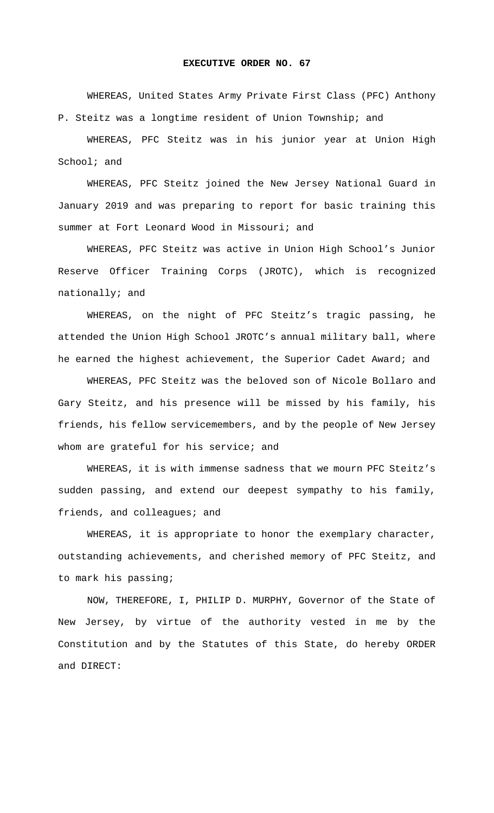## **EXECUTIVE ORDER NO. 67**

WHEREAS, United States Army Private First Class (PFC) Anthony P. Steitz was a longtime resident of Union Township; and

WHEREAS, PFC Steitz was in his junior year at Union High School; and

WHEREAS, PFC Steitz joined the New Jersey National Guard in January 2019 and was preparing to report for basic training this summer at Fort Leonard Wood in Missouri; and

WHEREAS, PFC Steitz was active in Union High School's Junior Reserve Officer Training Corps (JROTC), which is recognized nationally; and

WHEREAS, on the night of PFC Steitz's tragic passing, he attended the Union High School JROTC's annual military ball, where he earned the highest achievement, the Superior Cadet Award; and

WHEREAS, PFC Steitz was the beloved son of Nicole Bollaro and Gary Steitz, and his presence will be missed by his family, his friends, his fellow servicemembers, and by the people of New Jersey whom are grateful for his service; and

WHEREAS, it is with immense sadness that we mourn PFC Steitz's sudden passing, and extend our deepest sympathy to his family, friends, and colleagues; and

 WHEREAS, it is appropriate to honor the exemplary character, outstanding achievements, and cherished memory of PFC Steitz, and to mark his passing;

 NOW, THEREFORE, I, PHILIP D. MURPHY, Governor of the State of New Jersey, by virtue of the authority vested in me by the Constitution and by the Statutes of this State, do hereby ORDER and DIRECT: